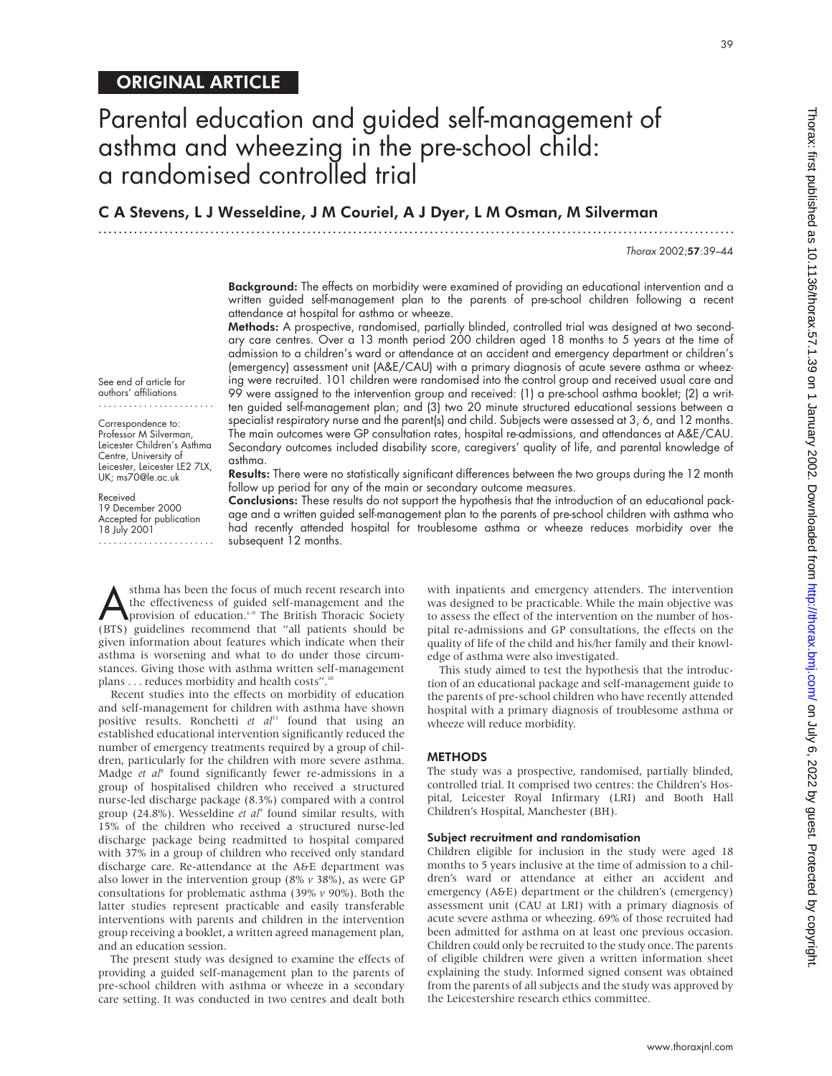# ORIGINAL ARTICLE

See end of article for authors' affiliations ....................... Correspondence to: Professor M Silverman, Leicester Children's Asthma Centre, University of Leicester, Leicester LE2 7LX, UK; ms70@le.ac.uk

Received 19 December 2000 Accepted for publication 18 July 2001 .......................

# Parental education and guided self-management of asthma and wheezing in the pre-school child: a randomised controlled trial

C A Stevens, L J Wesseldine, J M Couriel, A J Dyer, L M Osman, M Silverman

.............................................................................................................................

Thorax 2002;57:39–44

39

Background: The effects on morbidity were examined of providing an educational intervention and a written guided self-management plan to the parents of pre-school children following a recent attendance at hospital for asthma or wheeze.

Methods: A prospective, randomised, partially blinded, controlled trial was designed at two secondary care centres. Over a 13 month period 200 children aged 18 months to 5 years at the time of admission to a children's ward or attendance at an accident and emergency department or children's (emergency) assessment unit (A&E/CAU) with a primary diagnosis of acute severe asthma or wheezing were recruited. 101 children were randomised into the control group and received usual care and 99 were assigned to the intervention group and received: (1) a pre-school asthma booklet; (2) a written guided self-management plan; and (3) two 20 minute structured educational sessions between a specialist respiratory nurse and the parent(s) and child. Subjects were assessed at 3, 6, and 12 months. The main outcomes were GP consultation rates, hospital re-admissions, and attendances at A&E/CAU. Secondary outcomes included disability score, caregivers' quality of life, and parental knowledge of asthma.

Results: There were no statistically significant differences between the two groups during the 12 month follow up period for any of the main or secondary outcome measures.

Conclusions: These results do not support the hypothesis that the introduction of an educational package and a written guided self-management plan to the parents of pre-school children with asthma who had recently attended hospital for troublesome asthma or wheeze reduces morbidity over the subsequent 12 months.

**Asthma has been the focus of much recent research into**<br>the effectiveness of guided self-management and the<br>provision of education.<sup>1-9</sup> The British Thoracic Society<br>(BTS) quidelines recommend that "all natients should be the effectiveness of guided self-management and the (BTS) guidelines recommend that "all patients should be given information about features which indicate when their asthma is worsening and what to do under those circumstances. Giving those with asthma written self-management plans . . . reduces morbidity and health costs".<sup>1</sup>

Recent studies into the effects on morbidity of education and self-management for children with asthma have shown positive results. Ronchetti *et al*<sup>11</sup> found that using an established educational intervention significantly reduced the number of emergency treatments required by a group of children, particularly for the children with more severe asthma. Madge *et al*<sup>8</sup> found significantly fewer re-admissions in a group of hospitalised children who received a structured nurse-led discharge package (8.3%) compared with a control group (24.8%). Wesseldine *et al*<sup>9</sup> found similar results, with 15% of the children who received a structured nurse-led discharge package being readmitted to hospital compared with 37% in a group of children who received only standard discharge care. Re-attendance at the A&E department was also lower in the intervention group (8% *v* 38%), as were GP consultations for problematic asthma (39% *v* 90%). Both the latter studies represent practicable and easily transferable interventions with parents and children in the intervention group receiving a booklet, a written agreed management plan, and an education session.

The present study was designed to examine the effects of providing a guided self-management plan to the parents of pre-school children with asthma or wheeze in a secondary care setting. It was conducted in two centres and dealt both

with inpatients and emergency attenders. The intervention was designed to be practicable. While the main objective was to assess the effect of the intervention on the number of hospital re-admissions and GP consultations, the effects on the quality of life of the child and his/her family and their knowledge of asthma were also investigated.

This study aimed to test the hypothesis that the introduction of an educational package and self-management guide to the parents of pre-school children who have recently attended hospital with a primary diagnosis of troublesome asthma or wheeze will reduce morbidity.

## **METHODS**

The study was a prospective, randomised, partially blinded, controlled trial. It comprised two centres: the Children's Hospital, Leicester Royal Infirmary (LRI) and Booth Hall Children's Hospital, Manchester (BH).

#### Subject recruitment and randomisation

Children eligible for inclusion in the study were aged 18 months to 5 years inclusive at the time of admission to a children's ward or attendance at either an accident and emergency (A&E) department or the children's (emergency) assessment unit (CAU at LRI) with a primary diagnosis of acute severe asthma or wheezing. 69% of those recruited had been admitted for asthma on at least one previous occasion. Children could only be recruited to the study once. The parents of eligible children were given a written information sheet explaining the study. Informed signed consent was obtained from the parents of all subjects and the study was approved by the Leicestershire research ethics committee.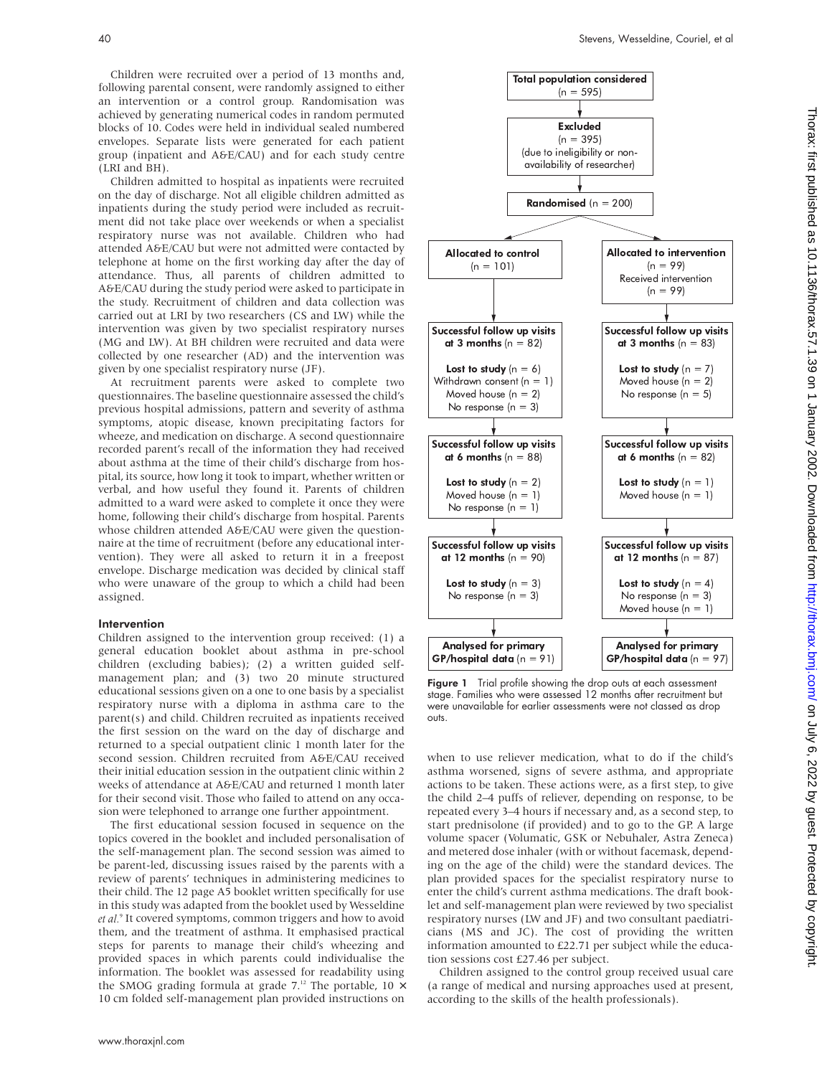Children were recruited over a period of 13 months and, following parental consent, were randomly assigned to either an intervention or a control group. Randomisation was achieved by generating numerical codes in random permuted blocks of 10. Codes were held in individual sealed numbered envelopes. Separate lists were generated for each patient group (inpatient and A&E/CAU) and for each study centre (LRI and BH).

Children admitted to hospital as inpatients were recruited on the day of discharge. Not all eligible children admitted as inpatients during the study period were included as recruitment did not take place over weekends or when a specialist respiratory nurse was not available. Children who had attended A&E/CAU but were not admitted were contacted by telephone at home on the first working day after the day of attendance. Thus, all parents of children admitted to A&E/CAU during the study period were asked to participate in the study. Recruitment of children and data collection was carried out at LRI by two researchers (CS and LW) while the intervention was given by two specialist respiratory nurses (MG and LW). At BH children were recruited and data were collected by one researcher (AD) and the intervention was given by one specialist respiratory nurse (JF).

At recruitment parents were asked to complete two questionnaires. The baseline questionnaire assessed the child's previous hospital admissions, pattern and severity of asthma symptoms, atopic disease, known precipitating factors for wheeze, and medication on discharge. A second questionnaire recorded parent's recall of the information they had received about asthma at the time of their child's discharge from hospital, its source, how long it took to impart, whether written or verbal, and how useful they found it. Parents of children admitted to a ward were asked to complete it once they were home, following their child's discharge from hospital. Parents whose children attended A&E/CAU were given the questionnaire at the time of recruitment (before any educational intervention). They were all asked to return it in a freepost envelope. Discharge medication was decided by clinical staff who were unaware of the group to which a child had been assigned.

#### Intervention

Children assigned to the intervention group received: (1) a general education booklet about asthma in pre-school children (excluding babies); (2) a written guided selfmanagement plan; and (3) two 20 minute structured educational sessions given on a one to one basis by a specialist respiratory nurse with a diploma in asthma care to the parent(s) and child. Children recruited as inpatients received the first session on the ward on the day of discharge and returned to a special outpatient clinic 1 month later for the second session. Children recruited from A&E/CAU received their initial education session in the outpatient clinic within 2 weeks of attendance at A&E/CAU and returned 1 month later for their second visit. Those who failed to attend on any occasion were telephoned to arrange one further appointment.

The first educational session focused in sequence on the topics covered in the booklet and included personalisation of the self-management plan. The second session was aimed to be parent-led, discussing issues raised by the parents with a review of parents' techniques in administering medicines to their child. The 12 page A5 booklet written specifically for use in this study was adapted from the booklet used by Wesseldine *et al.*<sup>9</sup> It covered symptoms, common triggers and how to avoid them, and the treatment of asthma. It emphasised practical steps for parents to manage their child's wheezing and provided spaces in which parents could individualise the information. The booklet was assessed for readability using the SMOG grading formula at grade 7.<sup>12</sup> The portable, 10  $\times$ 10 cm folded self-management plan provided instructions on



Figure 1 Trial profile showing the drop outs at each assessment stage. Families who were assessed 12 months after recruitment but were unavailable for earlier assessments were not classed as drop outs.

when to use reliever medication, what to do if the child's asthma worsened, signs of severe asthma, and appropriate actions to be taken. These actions were, as a first step, to give the child 2–4 puffs of reliever, depending on response, to be repeated every 3–4 hours if necessary and, as a second step, to start prednisolone (if provided) and to go to the GP. A large volume spacer (Volumatic, GSK or Nebuhaler, Astra Zeneca) and metered dose inhaler (with or without facemask, depending on the age of the child) were the standard devices. The plan provided spaces for the specialist respiratory nurse to enter the child's current asthma medications. The draft booklet and self-management plan were reviewed by two specialist respiratory nurses (LW and JF) and two consultant paediatricians (MS and JC). The cost of providing the written information amounted to £22.71 per subject while the education sessions cost £27.46 per subject.

Children assigned to the control group received usual care (a range of medical and nursing approaches used at present, according to the skills of the health professionals).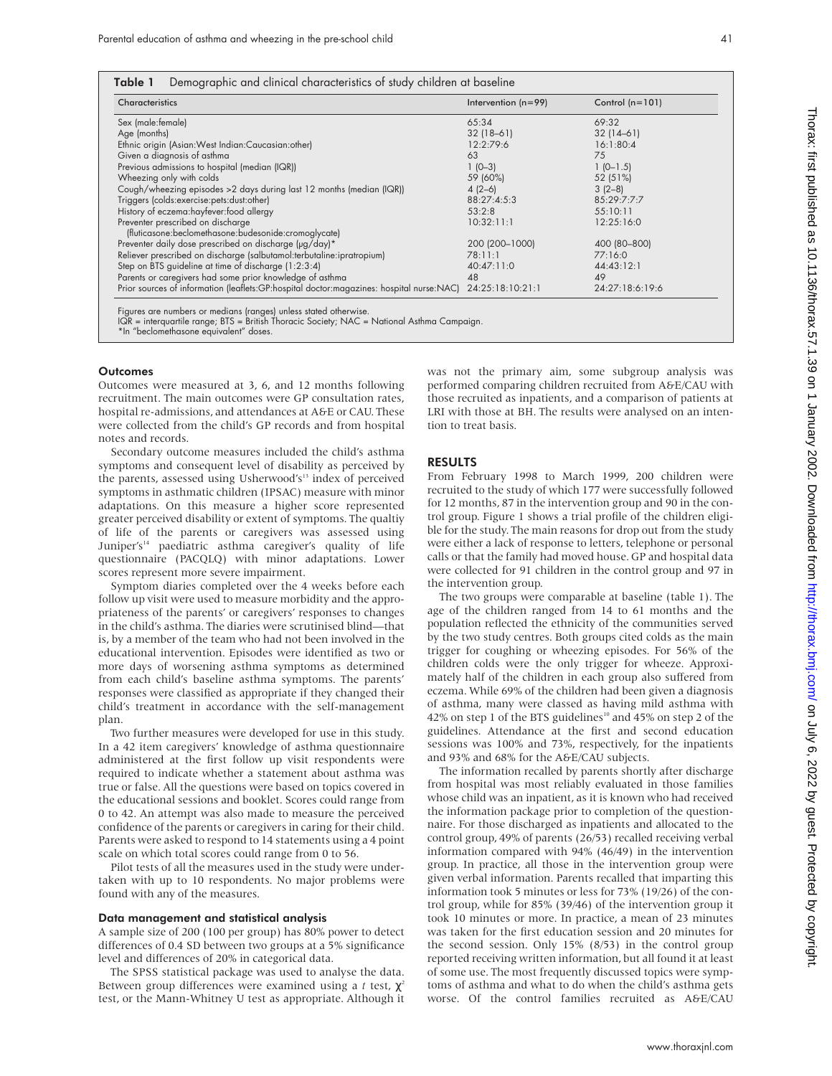|  |  | Table 1 Demographic and clinical characteristics of study children at baseline |  |  |  |
|--|--|--------------------------------------------------------------------------------|--|--|--|
|--|--|--------------------------------------------------------------------------------|--|--|--|

| Characteristics                                                                          | Intervention $(n=99)$ | Control $(n=101)$ |
|------------------------------------------------------------------------------------------|-----------------------|-------------------|
| Sex (male: female)                                                                       | 65:34                 | 69:32             |
| Age (months)                                                                             | $32(18-61)$           | $32(14-61)$       |
| Ethnic origin (Asian: West Indian: Caucasian: other)                                     | 12:2:79:6             | 16:1:80:4         |
| Given a diagnosis of asthma                                                              | 63                    | 75                |
| Previous admissions to hospital (median (IQR))                                           | $1(0-3)$              | $1(0-1.5)$        |
| Wheezing only with colds                                                                 | 59 (60%)              | 52 (51%)          |
| Cough/wheezing episodes > 2 days during last 12 months (median (IQR))                    | $4(2-6)$              | $3(2-8)$          |
| Triggers (colds: exercise: pets: dust: other)                                            | 88:27:4:5:3           | 85:29:7:7:7       |
| History of eczema: hayfever: food allergy                                                | 53:2:8                | 55:10:11          |
| Preventer prescribed on discharge                                                        | 10:32:11:1            | 12:25:16:0        |
| (fluticasone:beclomethasone:budesonide:cromoglycate)                                     |                       |                   |
| Preventer daily dose prescribed on discharge (µg/day)*                                   | 200 (200-1000)        | 400 (80-800)      |
| Reliever prescribed on discharge (salbutamol:terbutaline:ipratropium)                    | 78:11:1               | 77:16:0           |
| Step on BTS guideline at time of discharge (1:2:3:4)                                     | 40:47:11:0            | 44:43:12:1        |
| Parents or caregivers had some prior knowledge of asthma                                 | 48                    | 49                |
| Prior sources of information (leaflets:GP:hospital doctor:magazines: hospital nurse:NAC) | 24:25:18:10:21:1      | 24:27:18:6:19:6   |

\*In "beclomethasone equivalent" doses.

#### **Outcomes**

Outcomes were measured at 3, 6, and 12 months following recruitment. The main outcomes were GP consultation rates, hospital re-admissions, and attendances at A&E or CAU. These were collected from the child's GP records and from hospital notes and records.

Secondary outcome measures included the child's asthma symptoms and consequent level of disability as perceived by the parents, assessed using Usherwood's<sup>13</sup> index of perceived symptoms in asthmatic children (IPSAC) measure with minor adaptations. On this measure a higher score represented greater perceived disability or extent of symptoms. The qualtiy of life of the parents or caregivers was assessed using Juniper's<sup>14</sup> paediatric asthma caregiver's quality of life questionnaire (PACQLQ) with minor adaptations. Lower scores represent more severe impairment.

Symptom diaries completed over the 4 weeks before each follow up visit were used to measure morbidity and the appropriateness of the parents' or caregivers' responses to changes in the child's asthma. The diaries were scrutinised blind—that is, by a member of the team who had not been involved in the educational intervention. Episodes were identified as two or more days of worsening asthma symptoms as determined from each child's baseline asthma symptoms. The parents' responses were classified as appropriate if they changed their child's treatment in accordance with the self-management plan.

Two further measures were developed for use in this study. In a 42 item caregivers' knowledge of asthma questionnaire administered at the first follow up visit respondents were required to indicate whether a statement about asthma was true or false. All the questions were based on topics covered in the educational sessions and booklet. Scores could range from 0 to 42. An attempt was also made to measure the perceived confidence of the parents or caregivers in caring for their child. Parents were asked to respond to 14 statements using a 4 point scale on which total scores could range from 0 to 56.

Pilot tests of all the measures used in the study were undertaken with up to 10 respondents. No major problems were found with any of the measures.

#### Data management and statistical analysis

A sample size of 200 (100 per group) has 80% power to detect differences of 0.4 SD between two groups at a 5% significance level and differences of 20% in categorical data.

The SPSS statistical package was used to analyse the data. Between group differences were examined using a *t* test,  $\chi^2$ test, or the Mann-Whitney U test as appropriate. Although it

was not the primary aim, some subgroup analysis was performed comparing children recruited from A&E/CAU with those recruited as inpatients, and a comparison of patients at LRI with those at BH. The results were analysed on an intention to treat basis.

#### RESULTS

From February 1998 to March 1999, 200 children were recruited to the study of which 177 were successfully followed for 12 months, 87 in the intervention group and 90 in the control group. Figure 1 shows a trial profile of the children eligible for the study. The main reasons for drop out from the study were either a lack of response to letters, telephone or personal calls or that the family had moved house. GP and hospital data were collected for 91 children in the control group and 97 in the intervention group.

The two groups were comparable at baseline (table 1). The age of the children ranged from 14 to 61 months and the population reflected the ethnicity of the communities served by the two study centres. Both groups cited colds as the main trigger for coughing or wheezing episodes. For 56% of the children colds were the only trigger for wheeze. Approximately half of the children in each group also suffered from eczema. While 69% of the children had been given a diagnosis of asthma, many were classed as having mild asthma with 42% on step 1 of the BTS guidelines<sup>10</sup> and 45% on step 2 of the guidelines. Attendance at the first and second education sessions was 100% and 73%, respectively, for the inpatients and 93% and 68% for the A&E/CAU subjects.

The information recalled by parents shortly after discharge from hospital was most reliably evaluated in those families whose child was an inpatient, as it is known who had received the information package prior to completion of the questionnaire. For those discharged as inpatients and allocated to the control group, 49% of parents (26/53) recalled receiving verbal information compared with 94% (46/49) in the intervention group. In practice, all those in the intervention group were given verbal information. Parents recalled that imparting this information took 5 minutes or less for 73% (19/26) of the control group, while for 85% (39/46) of the intervention group it took 10 minutes or more. In practice, a mean of 23 minutes was taken for the first education session and 20 minutes for the second session. Only 15% (8/53) in the control group reported receiving written information, but all found it at least of some use. The most frequently discussed topics were symptoms of asthma and what to do when the child's asthma gets worse. Of the control families recruited as A&E/CAU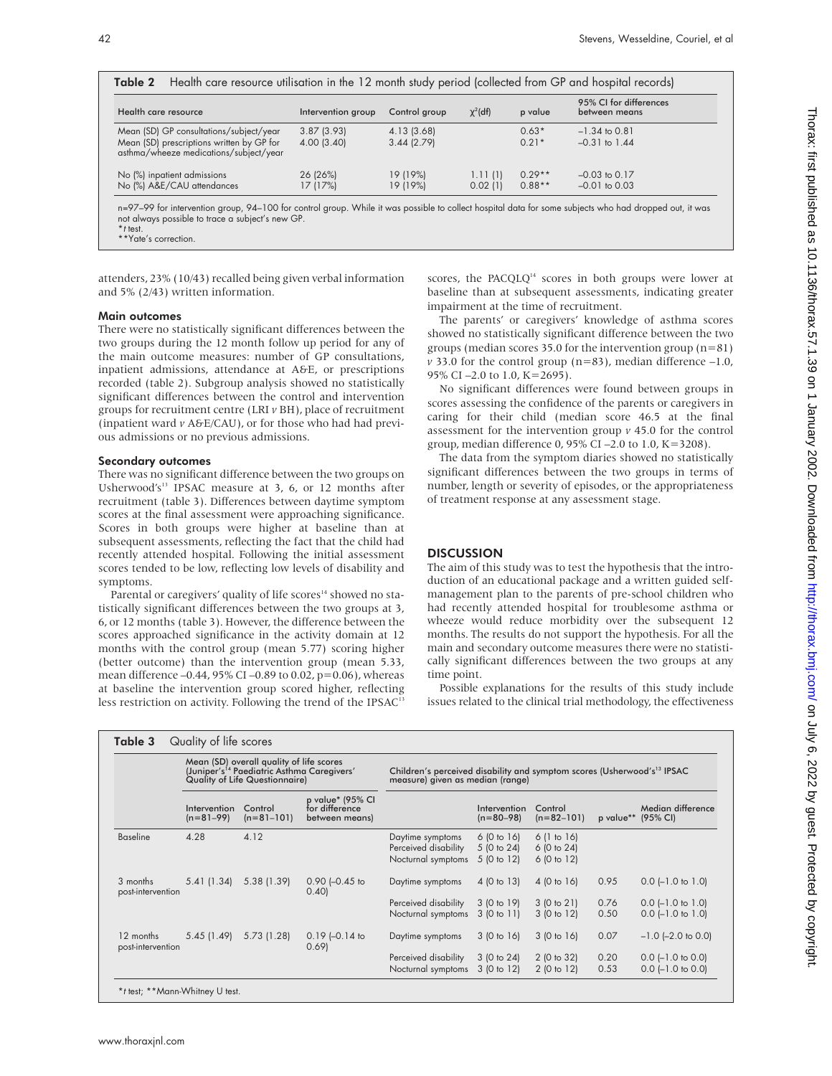| Health care resource utilisation in the 12 month study period (collected from GP and hospital records)<br>Table 2 |                    |               |               |          |                                         |  |  |
|-------------------------------------------------------------------------------------------------------------------|--------------------|---------------|---------------|----------|-----------------------------------------|--|--|
| Health care resource                                                                                              | Intervention group | Control group | $\chi^2$ (df) |          | 95% CI for differences<br>between means |  |  |
| Mean (SD) GP consultations/subject/year                                                                           | 3.87(3.93)         | 4.13 (3.68)   |               | $0.63*$  | $-1.34$ to 0.81                         |  |  |
| Mean (SD) prescriptions written by GP for<br>asthma/wheeze medications/subject/year                               | 4.00(3.40)         | 3.44(2.79)    |               | $0.21*$  | $-0.31$ to 1.44                         |  |  |
| No (%) inpatient admissions                                                                                       | 26 (26%)           | 19 (19%)      | 1.11(1)       | $0.29**$ | $-0.03$ to $0.17$                       |  |  |
| No (%) A&E/CAU attendances                                                                                        | 17(17%)            | 19 (19%)      | 0.02(1)       | $0.88**$ | $-0.01$ to $0.03$                       |  |  |

n=97–99 for intervention group, 94–100 for control group. While it was possible to collect hospital data for some subjects who had dropped out, it was not always possible to trace a subject's new GP. \*<sup>t</sup> test.

\*\*Yate's correction.

attenders, 23% (10/43) recalled being given verbal information and 5% (2/43) written information.

#### Main outcomes

There were no statistically significant differences between the two groups during the 12 month follow up period for any of the main outcome measures: number of GP consultations, inpatient admissions, attendance at A&E, or prescriptions recorded (table 2). Subgroup analysis showed no statistically significant differences between the control and intervention groups for recruitment centre (LRI *v* BH), place of recruitment (inpatient ward *v* A&E/CAU), or for those who had had previous admissions or no previous admissions.

#### Secondary outcomes

There was no significant difference between the two groups on Usherwood's<sup>13</sup> IPSAC measure at 3, 6, or 12 months after recruitment (table 3). Differences between daytime symptom scores at the final assessment were approaching significance. Scores in both groups were higher at baseline than at subsequent assessments, reflecting the fact that the child had recently attended hospital. Following the initial assessment scores tended to be low, reflecting low levels of disability and symptoms.

Parental or caregivers' quality of life scores<sup>14</sup> showed no statistically significant differences between the two groups at 3, 6, or 12 months (table 3). However, the difference between the scores approached significance in the activity domain at 12 months with the control group (mean 5.77) scoring higher (better outcome) than the intervention group (mean 5.33, mean difference –0.44, 95% CI –0.89 to 0.02, p=0.06), whereas at baseline the intervention group scored higher, reflecting less restriction on activity. Following the trend of the IPSAC<sup>1</sup>

scores, the PACQLQ<sup>14</sup> scores in both groups were lower at baseline than at subsequent assessments, indicating greater impairment at the time of recruitment.

The parents' or caregivers' knowledge of asthma scores showed no statistically significant difference between the two groups (median scores 35.0 for the intervention group  $(n=81)$ )  $v$  33.0 for the control group ( $n=83$ ), median difference  $-1.0$ , 95% CI –2.0 to 1.0, K=2695).

No significant differences were found between groups in scores assessing the confidence of the parents or caregivers in caring for their child (median score 46.5 at the final assessment for the intervention group *v* 45.0 for the control group, median difference 0, 95% CI –2.0 to 1.0, K=3208).

The data from the symptom diaries showed no statistically significant differences between the two groups in terms of number, length or severity of episodes, or the appropriateness of treatment response at any assessment stage.

# **DISCUSSION**

The aim of this study was to test the hypothesis that the introduction of an educational package and a written guided selfmanagement plan to the parents of pre-school children who had recently attended hospital for troublesome asthma or wheeze would reduce morbidity over the subsequent 12 months. The results do not support the hypothesis. For all the main and secondary outcome measures there were no statistically significant differences between the two groups at any time point.

Possible explanations for the results of this study include issues related to the clinical trial methodology, the effectiveness

| Table 3                         | Quality of life scores                                                                                                               |                         |                                                      |                                                                                                                         |                                          |                                        |              |                                            |
|---------------------------------|--------------------------------------------------------------------------------------------------------------------------------------|-------------------------|------------------------------------------------------|-------------------------------------------------------------------------------------------------------------------------|------------------------------------------|----------------------------------------|--------------|--------------------------------------------|
|                                 | Mean (SD) overall quality of life scores<br>(Juniper's <sup>14</sup> Paediatric Asthma Caregivers'<br>Quality of Life Questionnaire) |                         |                                                      | Children's perceived disability and symptom scores (Usherwood's <sup>13</sup> IPSAC<br>measure) given as median (range) |                                          |                                        |              |                                            |
|                                 | Intervention<br>$(n=81-99)$                                                                                                          | Control<br>$(n=81-101)$ | p value* (95% CI<br>for difference<br>between means) |                                                                                                                         | Intervention<br>$(n=80-98)$              | Control<br>$(n=82-101)$                |              | Median difference<br>p value** (95% CI)    |
| <b>Baseline</b>                 | 4.28                                                                                                                                 | 4.12                    |                                                      | Daytime symptoms<br>Perceived disability<br>Nocturnal symptoms                                                          | 6(0 to 16)<br>5 (0 to 24)<br>5 (0 to 12) | 6(1 to 16)<br>6(0 to 24)<br>6(0 to 12) |              |                                            |
| 3 months<br>post-intervention   | 5.41(1.34)                                                                                                                           | 5.38(1.39)              | $0.90$ $[-0.45$ to<br>0.40                           | Daytime symptoms                                                                                                        | 4 (0 to 13)                              | 4(0 to 16)                             | 0.95         | $0.0$ (-1.0 to 1.0)                        |
|                                 |                                                                                                                                      |                         |                                                      | Perceived disability<br>Nocturnal symptoms                                                                              | 3(0 to 19)<br>3(0 to 11)                 | 3(0 to 21)<br>3 (0 to 12)              | 0.76<br>0.50 | $0.0$ (-1.0 to 1.0)<br>$0.0$ (-1.0 to 1.0) |
| 12 months<br>post-intervention  | 5.45(1.49)                                                                                                                           | 5.73(1.28)              | $0.19$ (-0.14 to<br>0.69                             | Daytime symptoms                                                                                                        | 3(0 to 16)                               | 3(0 to 16)                             | 0.07         | $-1.0$ (-2.0 to 0.0)                       |
|                                 |                                                                                                                                      |                         |                                                      | Perceived disability<br>Nocturnal symptoms                                                                              | 3(0 to 24)<br>3(0 to 12)                 | 2(0 to 32)<br>2 (0 to 12)              | 0.20<br>0.53 | $0.0$ (-1.0 to 0.0)<br>$0.0$ (-1.0 to 0.0) |
| *t test; **Mann-Whitney U test. |                                                                                                                                      |                         |                                                      |                                                                                                                         |                                          |                                        |              |                                            |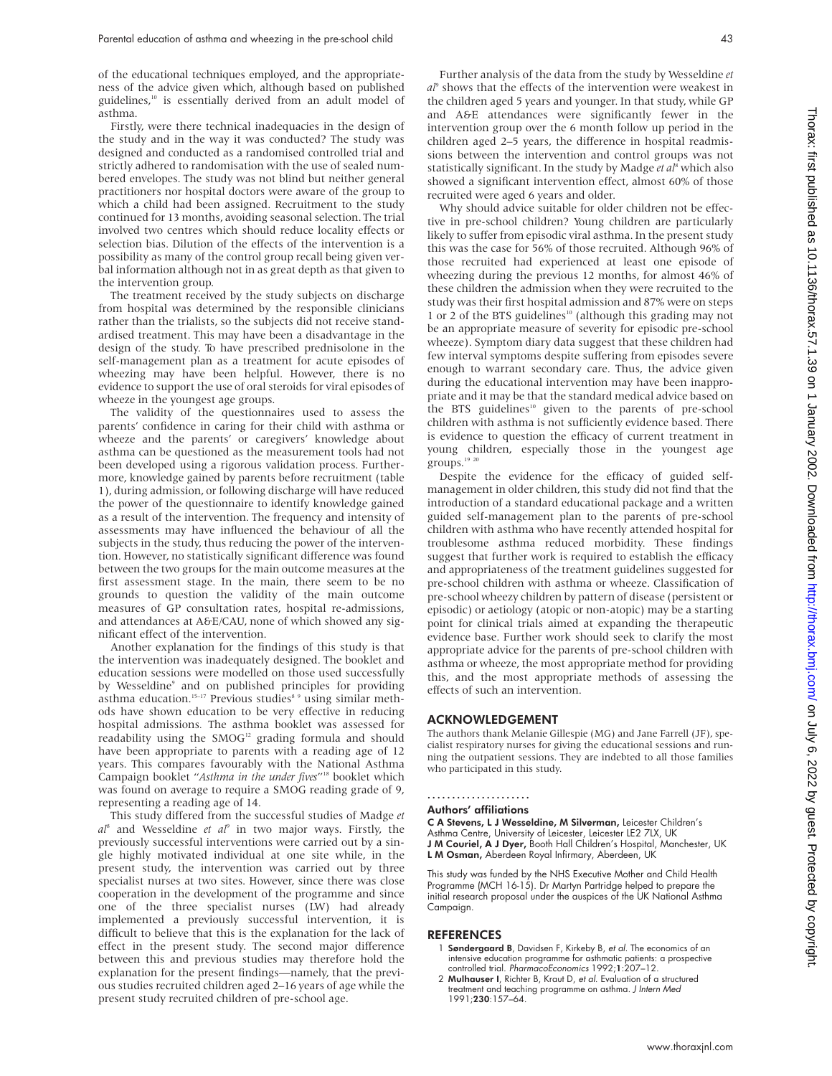of the educational techniques employed, and the appropriateness of the advice given which, although based on published guidelines,<sup>10</sup> is essentially derived from an adult model of asthma.

Firstly, were there technical inadequacies in the design of the study and in the way it was conducted? The study was designed and conducted as a randomised controlled trial and strictly adhered to randomisation with the use of sealed numbered envelopes. The study was not blind but neither general practitioners nor hospital doctors were aware of the group to which a child had been assigned. Recruitment to the study continued for 13 months, avoiding seasonal selection. The trial involved two centres which should reduce locality effects or selection bias. Dilution of the effects of the intervention is a possibility as many of the control group recall being given verbal information although not in as great depth as that given to the intervention group.

The treatment received by the study subjects on discharge from hospital was determined by the responsible clinicians rather than the trialists, so the subjects did not receive standardised treatment. This may have been a disadvantage in the design of the study. To have prescribed prednisolone in the self-management plan as a treatment for acute episodes of wheezing may have been helpful. However, there is no evidence to support the use of oral steroids for viral episodes of wheeze in the youngest age groups.

The validity of the questionnaires used to assess the parents' confidence in caring for their child with asthma or wheeze and the parents' or caregivers' knowledge about asthma can be questioned as the measurement tools had not been developed using a rigorous validation process. Furthermore, knowledge gained by parents before recruitment (table 1), during admission, or following discharge will have reduced the power of the questionnaire to identify knowledge gained as a result of the intervention. The frequency and intensity of assessments may have influenced the behaviour of all the subjects in the study, thus reducing the power of the intervention. However, no statistically significant difference was found between the two groups for the main outcome measures at the first assessment stage. In the main, there seem to be no grounds to question the validity of the main outcome measures of GP consultation rates, hospital re-admissions, and attendances at A&E/CAU, none of which showed any significant effect of the intervention.

Another explanation for the findings of this study is that the intervention was inadequately designed. The booklet and education sessions were modelled on those used successfully by Wesseldine<sup>9</sup> and on published principles for providing asthma education.<sup>15-17</sup> Previous studies<sup>8</sup> 9 using similar methods have shown education to be very effective in reducing hospital admissions*.* The asthma booklet was assessed for readability using the SMOG<sup>12</sup> grading formula and should have been appropriate to parents with a reading age of 12 years. This compares favourably with the National Asthma Campaign booklet "*Asthma in the under fives*"18 booklet which was found on average to require a SMOG reading grade of 9, representing a reading age of 14.

This study differed from the successful studies of Madge *et al*<sup>8</sup> and Wesseldine *et al*<sup>9</sup> in two major ways. Firstly, the previously successful interventions were carried out by a single highly motivated individual at one site while, in the present study, the intervention was carried out by three specialist nurses at two sites. However, since there was close cooperation in the development of the programme and since one of the three specialist nurses (LW) had already implemented a previously successful intervention, it is difficult to believe that this is the explanation for the lack of effect in the present study. The second major difference between this and previous studies may therefore hold the explanation for the present findings—namely, that the previous studies recruited children aged 2–16 years of age while the present study recruited children of pre-school age.

Further analysis of the data from the study by Wesseldine *et al*<sup>9</sup> shows that the effects of the intervention were weakest in the children aged 5 years and younger. In that study, while GP and A&E attendances were significantly fewer in the intervention group over the 6 month follow up period in the children aged 2–5 years, the difference in hospital readmissions between the intervention and control groups was not statistically significant. In the study by Madge *et al*<sup>8</sup> which also showed a significant intervention effect, almost 60% of those recruited were aged 6 years and older.

Why should advice suitable for older children not be effective in pre-school children? Young children are particularly likely to suffer from episodic viral asthma. In the present study this was the case for 56% of those recruited. Although 96% of those recruited had experienced at least one episode of wheezing during the previous 12 months, for almost 46% of these children the admission when they were recruited to the study was their first hospital admission and 87% were on steps 1 or 2 of the BTS guidelines<sup>10</sup> (although this grading may not be an appropriate measure of severity for episodic pre-school wheeze). Symptom diary data suggest that these children had few interval symptoms despite suffering from episodes severe enough to warrant secondary care. Thus, the advice given during the educational intervention may have been inappropriate and it may be that the standard medical advice based on the BTS guidelines<sup>10</sup> given to the parents of pre-school children with asthma is not sufficiently evidence based. There is evidence to question the efficacy of current treatment in young children, especially those in the youngest age groups.<sup>19 20</sup>

Despite the evidence for the efficacy of guided selfmanagement in older children, this study did not find that the introduction of a standard educational package and a written guided self-management plan to the parents of pre-school children with asthma who have recently attended hospital for troublesome asthma reduced morbidity. These findings suggest that further work is required to establish the efficacy and appropriateness of the treatment guidelines suggested for pre-school children with asthma or wheeze. Classification of pre-school wheezy children by pattern of disease (persistent or episodic) or aetiology (atopic or non-atopic) may be a starting point for clinical trials aimed at expanding the therapeutic evidence base. Further work should seek to clarify the most appropriate advice for the parents of pre-school children with asthma or wheeze, the most appropriate method for providing this, and the most appropriate methods of assessing the effects of such an intervention.

#### ACKNOWLEDGEMENT

The authors thank Melanie Gillespie (MG) and Jane Farrell (JF), specialist respiratory nurses for giving the educational sessions and running the outpatient sessions. They are indebted to all those families who participated in this study.

#### .....................

### Authors' affiliations

C A Stevens, L J Wesseldine, M Silverman, Leicester Children's Asthma Centre, University of Leicester, Leicester LE2 7LX, UK J M Couriel, A J Dyer, Booth Hall Children's Hospital, Manchester, UK L M Osman, Aberdeen Royal Infirmary, Aberdeen, UK

This study was funded by the NHS Executive Mother and Child Health Programme (MCH 16-15). Dr Martyn Partridge helped to prepare the initial research proposal under the auspices of the UK National Asthma Campaign.

#### REFERENCES

- 1 Søndergaard B, Davidsen F, Kirkeby B, et al. The economics of an intensive education programme for asthmatic patients: a prospective controlled trial. PharmacoEconomics 1992;1:207–12.
- 2 Mulhauser I, Richter B, Kraut D, et al. Evaluation of a structured treatment and teaching programme on asthma. J Intern Med 1991;230:157–64.